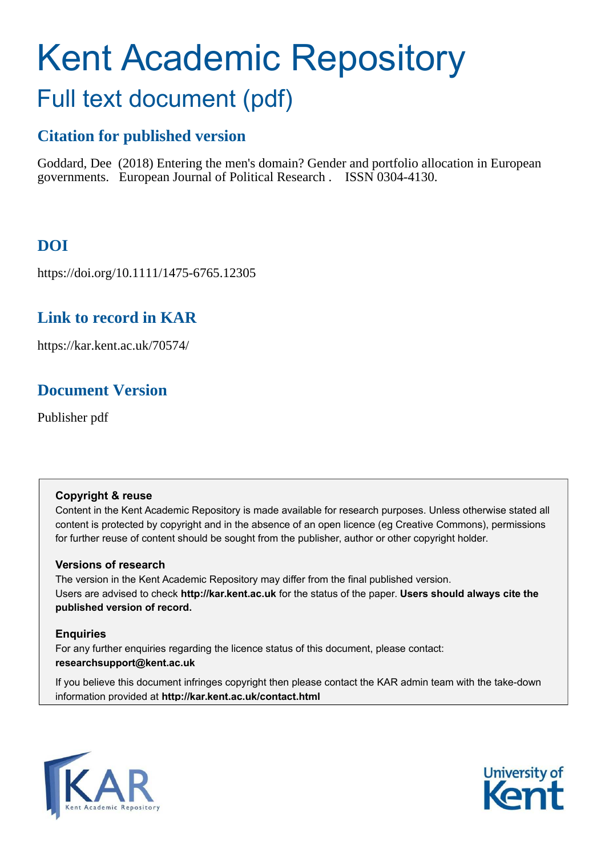# Kent Academic Repository Full text document (pdf)

## **Citation for published version**

Goddard, Dee (2018) Entering the men's domain? Gender and portfolio allocation in European governments. European Journal of Political Research . ISSN 0304-4130.

# **DOI**

https://doi.org/10.1111/1475-6765.12305

# **Link to record in KAR**

https://kar.kent.ac.uk/70574/

# **Document Version**

Publisher pdf

### **Copyright & reuse**

Content in the Kent Academic Repository is made available for research purposes. Unless otherwise stated all content is protected by copyright and in the absence of an open licence (eg Creative Commons), permissions for further reuse of content should be sought from the publisher, author or other copyright holder.

### **Versions of research**

The version in the Kent Academic Repository may differ from the final published version. Users are advised to check **http://kar.kent.ac.uk** for the status of the paper. **Users should always cite the published version of record.**

### **Enquiries**

For any further enquiries regarding the licence status of this document, please contact: **researchsupport@kent.ac.uk**

If you believe this document infringes copyright then please contact the KAR admin team with the take-down information provided at **http://kar.kent.ac.uk/contact.html**



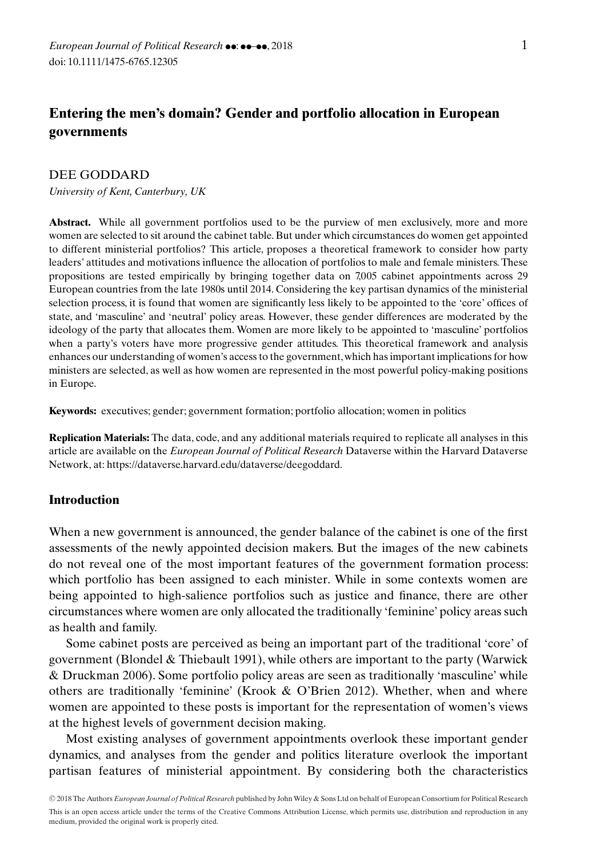### **Entering the men's domain? Gender and portfolio allocation in European governments**

#### DEE GODDARD

*University of Kent, Canterbury, UK*

**Abstract.** While all government portfolios used to be the purview of men exclusively, more and more women are selected to sit around the cabinet table. But under which circumstances do women get appointed to different ministerial portfolios? This article, proposes a theoretical framework to consider how party leaders' attitudes and motivations inluence the allocation of portfolios to male and female ministers. These propositions are tested empirically by bringing together data on 7,005 cabinet appointments across 29 European countries from the late 1980s until 2014. Considering the key partisan dynamics of the ministerial selection process, it is found that women are significantly less likely to be appointed to the 'core' offices of state, and 'masculine' and 'neutral' policy areas. However, these gender differences are moderated by the ideology of the party that allocates them. Women are more likely to be appointed to 'masculine' portfolios when a party's voters have more progressive gender attitudes. This theoretical framework and analysis enhances our understanding of women's access to the government, which has important implications for how ministers are selected, as well as how women are represented in the most powerful policy-making positions in Europe.

**Keywords:** executives; gender; government formation; portfolio allocation; women in politics

**Replication Materials:** The data, code, and any additional materials required to replicate all analyses in this article are available on the *European Journal of Political Research* Dataverse within the Harvard Dataverse Network, at: https://dataverse.harvard.edu/dataverse/deegoddard.

#### **Introduction**

When a new government is announced, the gender balance of the cabinet is one of the first assessments of the newly appointed decision makers. But the images of the new cabinets do not reveal one of the most important features of the government formation process: which portfolio has been assigned to each minister. While in some contexts women are being appointed to high-salience portfolios such as justice and inance, there are other circumstances where women are only allocated the traditionally 'feminine' policy areas such as health and family.

Some cabinet posts are perceived as being an important part of the traditional 'core' of government (Blondel & Thiebault 1991), while others are important to the party (Warwick & Druckman 2006). Some portfolio policy areas are seen as traditionally 'masculine' while others are traditionally 'feminine' (Krook & O'Brien 2012). Whether, when and where women are appointed to these posts is important for the representation of women's views at the highest levels of government decision making.

Most existing analyses of government appointments overlook these important gender dynamics, and analyses from the gender and politics literature overlook the important partisan features of ministerial appointment. By considering both the characteristics

-<sup>C</sup> 2018 The Authors *European Journal of Political Research* published by John Wiley & Sons Ltd on behalf of European Consortium for Political Research

This is an open access article under the terms of the Creative Commons Attribution License, which permits use, distribution and reproduction in any medium, provided the original work is properly cited.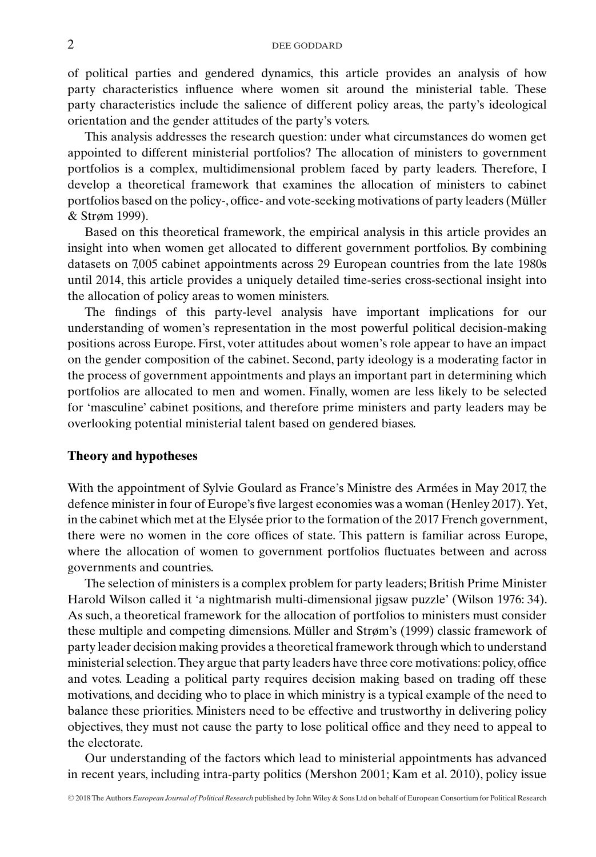of political parties and gendered dynamics, this article provides an analysis of how party characteristics inluence where women sit around the ministerial table. These party characteristics include the salience of different policy areas, the party's ideological orientation and the gender attitudes of the party's voters.

This analysis addresses the research question: under what circumstances do women get appointed to different ministerial portfolios? The allocation of ministers to government portfolios is a complex, multidimensional problem faced by party leaders. Therefore, I develop a theoretical framework that examines the allocation of ministers to cabinet portfolios based on the policy-, ofice- and vote-seeking motivations of party leaders (Müller & Strøm 1999).

Based on this theoretical framework, the empirical analysis in this article provides an insight into when women get allocated to different government portfolios. By combining datasets on 7,005 cabinet appointments across 29 European countries from the late 1980s until 2014, this article provides a uniquely detailed time-series cross-sectional insight into the allocation of policy areas to women ministers.

The indings of this party-level analysis have important implications for our understanding of women's representation in the most powerful political decision-making positions across Europe. First, voter attitudes about women's role appear to have an impact on the gender composition of the cabinet. Second, party ideology is a moderating factor in the process of government appointments and plays an important part in determining which portfolios are allocated to men and women. Finally, women are less likely to be selected for 'masculine' cabinet positions, and therefore prime ministers and party leaders may be overlooking potential ministerial talent based on gendered biases.

#### **Theory and hypotheses**

With the appointment of Sylvie Goulard as France's Ministre des Armées in May 2017, the defence minister in four of Europe's five largest economies was a woman (Henley 2017). Yet, in the cabinet which met at the Elysée prior to the formation of the 2017 French government, there were no women in the core ofices of state. This pattern is familiar across Europe, where the allocation of women to government portfolios luctuates between and across governments and countries.

The selection of ministers is a complex problem for party leaders; British Prime Minister Harold Wilson called it 'a nightmarish multi-dimensional jigsaw puzzle' (Wilson 1976: 34). As such, a theoretical framework for the allocation of portfolios to ministers must consider these multiple and competing dimensions. Müller and Strøm's (1999) classic framework of party leader decision making provides a theoretical framework through which to understand ministerial selection.They argue that party leaders have three core motivations: policy, ofice and votes. Leading a political party requires decision making based on trading off these motivations, and deciding who to place in which ministry is a typical example of the need to balance these priorities. Ministers need to be effective and trustworthy in delivering policy objectives, they must not cause the party to lose political ofice and they need to appeal to the electorate.

Our understanding of the factors which lead to ministerial appointments has advanced in recent years, including intra-party politics (Mershon 2001; Kam et al. 2010), policy issue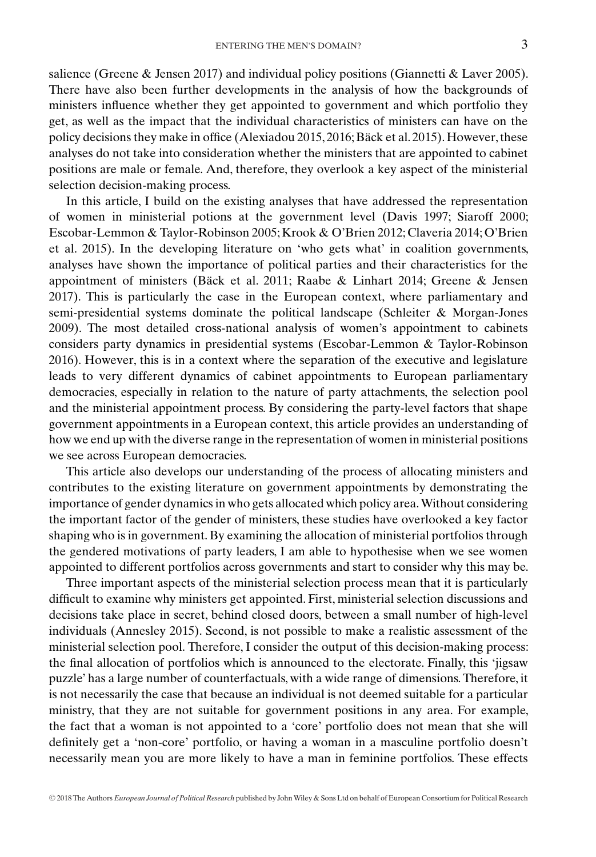salience (Greene & Jensen 2017) and individual policy positions (Giannetti & Laver 2005). There have also been further developments in the analysis of how the backgrounds of ministers inluence whether they get appointed to government and which portfolio they get, as well as the impact that the individual characteristics of ministers can have on the policy decisions they make in ofice (Alexiadou 2015, 2016; Bäck et al. 2015).However, these analyses do not take into consideration whether the ministers that are appointed to cabinet positions are male or female. And, therefore, they overlook a key aspect of the ministerial selection decision-making process.

In this article, I build on the existing analyses that have addressed the representation of women in ministerial potions at the government level (Davis 1997; Siaroff 2000; Escobar-Lemmon & Taylor-Robinson 2005; Krook & O'Brien 2012; Claveria 2014; O'Brien et al. 2015). In the developing literature on 'who gets what' in coalition governments, analyses have shown the importance of political parties and their characteristics for the appointment of ministers (Bäck et al. 2011; Raabe & Linhart 2014; Greene & Jensen 2017). This is particularly the case in the European context, where parliamentary and semi-presidential systems dominate the political landscape (Schleiter & Morgan-Jones 2009). The most detailed cross-national analysis of women's appointment to cabinets considers party dynamics in presidential systems (Escobar-Lemmon & Taylor-Robinson 2016). However, this is in a context where the separation of the executive and legislature leads to very different dynamics of cabinet appointments to European parliamentary democracies, especially in relation to the nature of party attachments, the selection pool and the ministerial appointment process. By considering the party-level factors that shape government appointments in a European context, this article provides an understanding of how we end up with the diverse range in the representation of women in ministerial positions we see across European democracies.

This article also develops our understanding of the process of allocating ministers and contributes to the existing literature on government appointments by demonstrating the importance of gender dynamics in who gets allocated which policy area.Without considering the important factor of the gender of ministers, these studies have overlooked a key factor shaping who is in government. By examining the allocation of ministerial portfolios through the gendered motivations of party leaders, I am able to hypothesise when we see women appointed to different portfolios across governments and start to consider why this may be.

Three important aspects of the ministerial selection process mean that it is particularly dificult to examine why ministers get appointed. First, ministerial selection discussions and decisions take place in secret, behind closed doors, between a small number of high-level individuals (Annesley 2015). Second, is not possible to make a realistic assessment of the ministerial selection pool. Therefore, I consider the output of this decision-making process: the inal allocation of portfolios which is announced to the electorate. Finally, this 'jigsaw puzzle' has a large number of counterfactuals, with a wide range of dimensions. Therefore, it is not necessarily the case that because an individual is not deemed suitable for a particular ministry, that they are not suitable for government positions in any area. For example, the fact that a woman is not appointed to a 'core' portfolio does not mean that she will definitely get a 'non-core' portfolio, or having a woman in a masculine portfolio doesn't necessarily mean you are more likely to have a man in feminine portfolios. These effects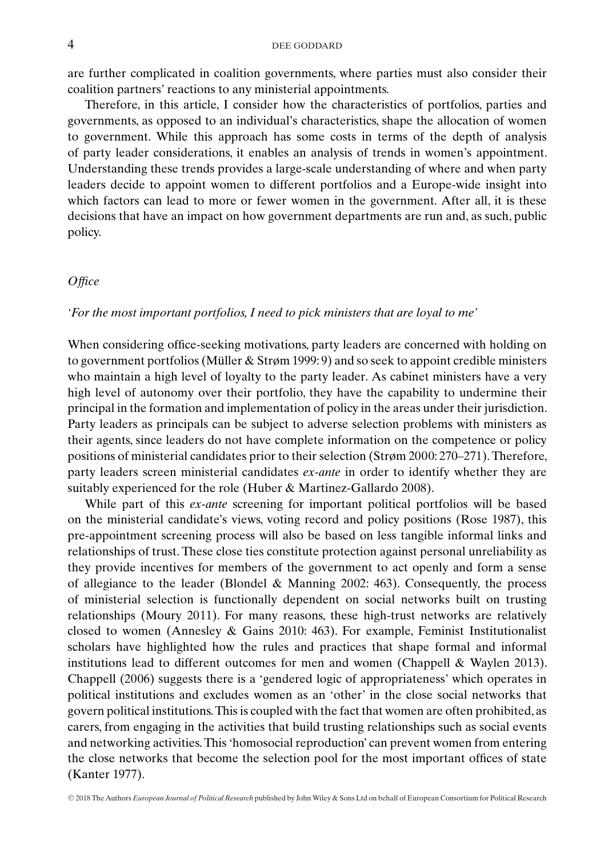are further complicated in coalition governments, where parties must also consider their coalition partners' reactions to any ministerial appointments.

Therefore, in this article, I consider how the characteristics of portfolios, parties and governments, as opposed to an individual's characteristics, shape the allocation of women to government. While this approach has some costs in terms of the depth of analysis of party leader considerations, it enables an analysis of trends in women's appointment. Understanding these trends provides a large-scale understanding of where and when party leaders decide to appoint women to different portfolios and a Europe-wide insight into which factors can lead to more or fewer women in the government. After all, it is these decisions that have an impact on how government departments are run and, as such, public policy.

#### *Ofice*

#### *'For the most important portfolios, I need to pick ministers that are loyal to me'*

When considering ofice-seeking motivations, party leaders are concerned with holding on to government portfolios (Müller & Strøm 1999: 9) and so seek to appoint credible ministers who maintain a high level of loyalty to the party leader. As cabinet ministers have a very high level of autonomy over their portfolio, they have the capability to undermine their principal in the formation and implementation of policy in the areas under their jurisdiction. Party leaders as principals can be subject to adverse selection problems with ministers as their agents, since leaders do not have complete information on the competence or policy positions of ministerial candidates prior to their selection (Strøm 2000: 270–271). Therefore, party leaders screen ministerial candidates *ex-ante* in order to identify whether they are suitably experienced for the role (Huber & Martinez-Gallardo 2008).

While part of this *ex-ante* screening for important political portfolios will be based on the ministerial candidate's views, voting record and policy positions (Rose 1987), this pre-appointment screening process will also be based on less tangible informal links and relationships of trust. These close ties constitute protection against personal unreliability as they provide incentives for members of the government to act openly and form a sense of allegiance to the leader (Blondel & Manning 2002: 463). Consequently, the process of ministerial selection is functionally dependent on social networks built on trusting relationships (Moury 2011). For many reasons, these high-trust networks are relatively closed to women (Annesley & Gains 2010: 463). For example, Feminist Institutionalist scholars have highlighted how the rules and practices that shape formal and informal institutions lead to different outcomes for men and women (Chappell & Waylen 2013). Chappell (2006) suggests there is a 'gendered logic of appropriateness' which operates in political institutions and excludes women as an 'other' in the close social networks that govern political institutions.This is coupled with the fact that women are often prohibited, as carers, from engaging in the activities that build trusting relationships such as social events and networking activities. This 'homosocial reproduction' can prevent women from entering the close networks that become the selection pool for the most important ofices of state (Kanter 1977).

-<sup>C</sup> 2018 The Authors *European Journal of Political Research* published by John Wiley & Sons Ltd on behalf of European Consortium for Political Research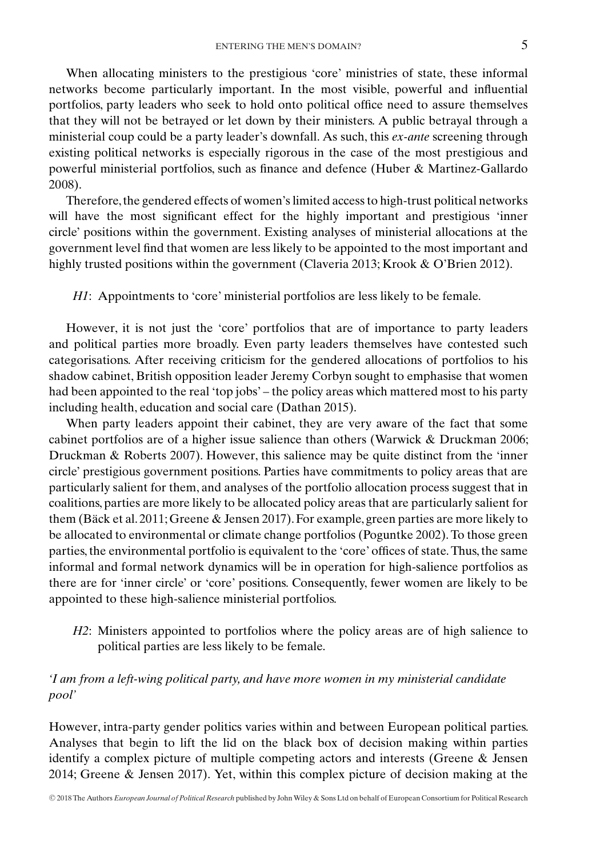When allocating ministers to the prestigious 'core' ministries of state, these informal networks become particularly important. In the most visible, powerful and inluential portfolios, party leaders who seek to hold onto political ofice need to assure themselves that they will not be betrayed or let down by their ministers. A public betrayal through a ministerial coup could be a party leader's downfall. As such, this *ex-ante* screening through existing political networks is especially rigorous in the case of the most prestigious and powerful ministerial portfolios, such as inance and defence (Huber & Martinez-Gallardo 2008).

Therefore, the gendered effects of women's limited access to high-trust political networks will have the most significant effect for the highly important and prestigious 'inner circle' positions within the government. Existing analyses of ministerial allocations at the government level ind that women are less likely to be appointed to the most important and highly trusted positions within the government (Claveria 2013; Krook & O'Brien 2012).

*H1*: Appointments to 'core' ministerial portfolios are less likely to be female.

However, it is not just the 'core' portfolios that are of importance to party leaders and political parties more broadly. Even party leaders themselves have contested such categorisations. After receiving criticism for the gendered allocations of portfolios to his shadow cabinet, British opposition leader Jeremy Corbyn sought to emphasise that women had been appointed to the real 'top jobs' – the policy areas which mattered most to his party including health, education and social care (Dathan 2015).

When party leaders appoint their cabinet, they are very aware of the fact that some cabinet portfolios are of a higher issue salience than others (Warwick & Druckman 2006; Druckman & Roberts 2007). However, this salience may be quite distinct from the 'inner circle' prestigious government positions. Parties have commitments to policy areas that are particularly salient for them, and analyses of the portfolio allocation process suggest that in coalitions, parties are more likely to be allocated policy areas that are particularly salient for them (Bäck et al. 2011;Greene & Jensen 2017). For example, green parties are more likely to be allocated to environmental or climate change portfolios (Poguntke 2002). To those green parties, the environmental portfolio is equivalent to the 'core' ofices of state. Thus, the same informal and formal network dynamics will be in operation for high-salience portfolios as there are for 'inner circle' or 'core' positions. Consequently, fewer women are likely to be appointed to these high-salience ministerial portfolios.

*H2*: Ministers appointed to portfolios where the policy areas are of high salience to political parties are less likely to be female.

#### *'I am from a left-wing political party, and have more women in my ministerial candidate pool'*

However, intra-party gender politics varies within and between European political parties. Analyses that begin to lift the lid on the black box of decision making within parties identify a complex picture of multiple competing actors and interests (Greene & Jensen 2014; Greene & Jensen 2017). Yet, within this complex picture of decision making at the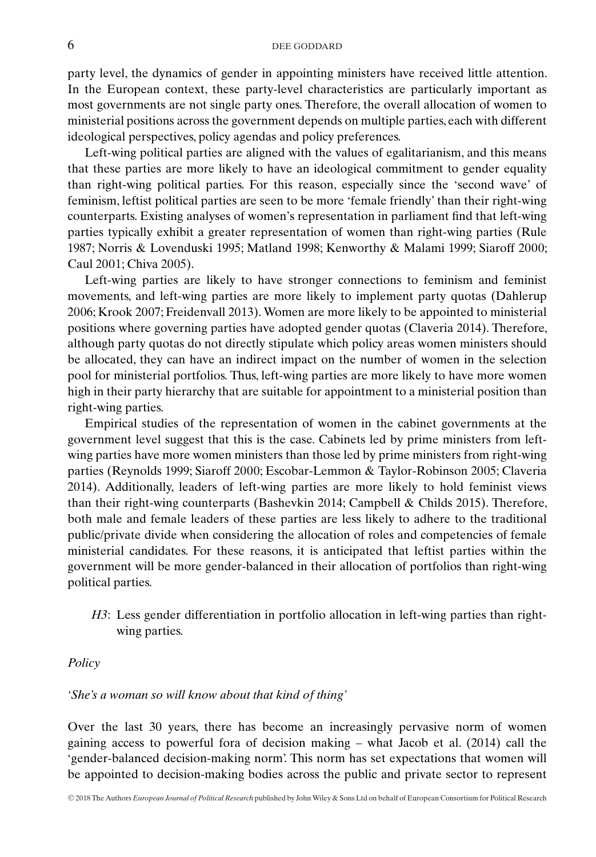party level, the dynamics of gender in appointing ministers have received little attention. In the European context, these party-level characteristics are particularly important as most governments are not single party ones. Therefore, the overall allocation of women to ministerial positions across the government depends on multiple parties, each with different ideological perspectives, policy agendas and policy preferences.

Left-wing political parties are aligned with the values of egalitarianism, and this means that these parties are more likely to have an ideological commitment to gender equality than right-wing political parties. For this reason, especially since the 'second wave' of feminism, leftist political parties are seen to be more 'female friendly' than their right-wing counterparts. Existing analyses of women's representation in parliament ind that left-wing parties typically exhibit a greater representation of women than right-wing parties (Rule 1987; Norris & Lovenduski 1995; Matland 1998; Kenworthy & Malami 1999; Siaroff 2000; Caul 2001; Chiva 2005).

Left-wing parties are likely to have stronger connections to feminism and feminist movements, and left-wing parties are more likely to implement party quotas (Dahlerup 2006; Krook 2007; Freidenvall 2013). Women are more likely to be appointed to ministerial positions where governing parties have adopted gender quotas (Claveria 2014). Therefore, although party quotas do not directly stipulate which policy areas women ministers should be allocated, they can have an indirect impact on the number of women in the selection pool for ministerial portfolios. Thus, left-wing parties are more likely to have more women high in their party hierarchy that are suitable for appointment to a ministerial position than right-wing parties.

Empirical studies of the representation of women in the cabinet governments at the government level suggest that this is the case. Cabinets led by prime ministers from leftwing parties have more women ministers than those led by prime ministers from right-wing parties (Reynolds 1999; Siaroff 2000; Escobar-Lemmon & Taylor-Robinson 2005; Claveria 2014). Additionally, leaders of left-wing parties are more likely to hold feminist views than their right-wing counterparts (Bashevkin 2014; Campbell & Childs 2015). Therefore, both male and female leaders of these parties are less likely to adhere to the traditional public/private divide when considering the allocation of roles and competencies of female ministerial candidates. For these reasons, it is anticipated that leftist parties within the government will be more gender-balanced in their allocation of portfolios than right-wing political parties.

*H3*: Less gender differentiation in portfolio allocation in left-wing parties than rightwing parties.

#### *Policy*

#### *'She's a woman so will know about that kind of thing'*

Over the last 30 years, there has become an increasingly pervasive norm of women gaining access to powerful fora of decision making – what Jacob et al. (2014) call the 'gender-balanced decision-making norm'. This norm has set expectations that women will be appointed to decision-making bodies across the public and private sector to represent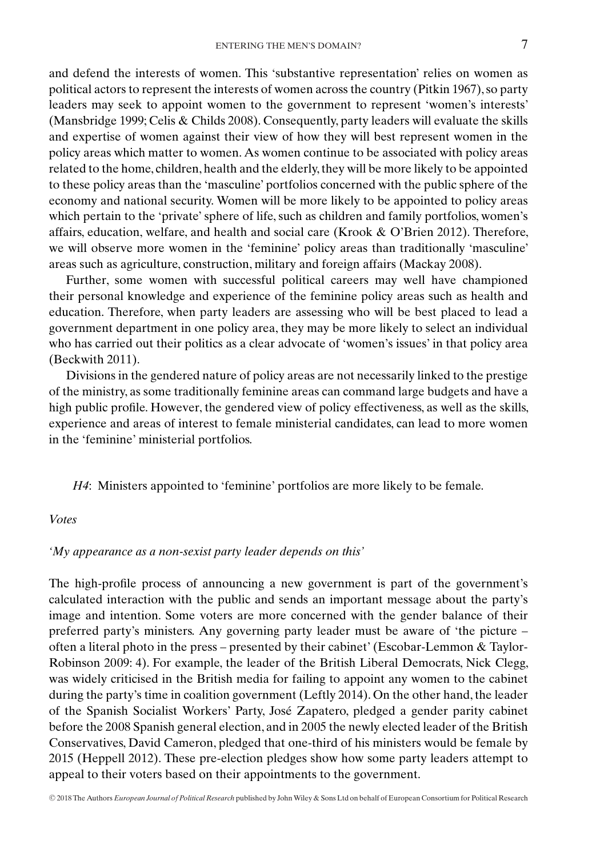and defend the interests of women. This 'substantive representation' relies on women as political actors to represent the interests of women across the country (Pitkin 1967), so party leaders may seek to appoint women to the government to represent 'women's interests' (Mansbridge 1999; Celis & Childs 2008). Consequently, party leaders will evaluate the skills and expertise of women against their view of how they will best represent women in the policy areas which matter to women. As women continue to be associated with policy areas related to the home, children, health and the elderly, they will be more likely to be appointed to these policy areas than the 'masculine' portfolios concerned with the public sphere of the economy and national security. Women will be more likely to be appointed to policy areas which pertain to the 'private' sphere of life, such as children and family portfolios, women's affairs, education, welfare, and health and social care (Krook & O'Brien 2012). Therefore, we will observe more women in the 'feminine' policy areas than traditionally 'masculine' areas such as agriculture, construction, military and foreign affairs (Mackay 2008).

Further, some women with successful political careers may well have championed their personal knowledge and experience of the feminine policy areas such as health and education. Therefore, when party leaders are assessing who will be best placed to lead a government department in one policy area, they may be more likely to select an individual who has carried out their politics as a clear advocate of 'women's issues' in that policy area (Beckwith 2011).

Divisions in the gendered nature of policy areas are not necessarily linked to the prestige of the ministry, as some traditionally feminine areas can command large budgets and have a high public profile. However, the gendered view of policy effectiveness, as well as the skills, experience and areas of interest to female ministerial candidates, can lead to more women in the 'feminine' ministerial portfolios.

*H4*: Ministers appointed to 'feminine' portfolios are more likely to be female.

#### *Votes*

#### *'My appearance as a non-sexist party leader depends on this'*

The high-profile process of announcing a new government is part of the government's calculated interaction with the public and sends an important message about the party's image and intention. Some voters are more concerned with the gender balance of their preferred party's ministers. Any governing party leader must be aware of 'the picture – often a literal photo in the press – presented by their cabinet' (Escobar-Lemmon & Taylor-Robinson 2009: 4). For example, the leader of the British Liberal Democrats, Nick Clegg, was widely criticised in the British media for failing to appoint any women to the cabinet during the party's time in coalition government (Leftly 2014). On the other hand, the leader of the Spanish Socialist Workers' Party, José Zapatero, pledged a gender parity cabinet before the 2008 Spanish general election, and in 2005 the newly elected leader of the British Conservatives, David Cameron, pledged that one-third of his ministers would be female by 2015 (Heppell 2012). These pre-election pledges show how some party leaders attempt to appeal to their voters based on their appointments to the government.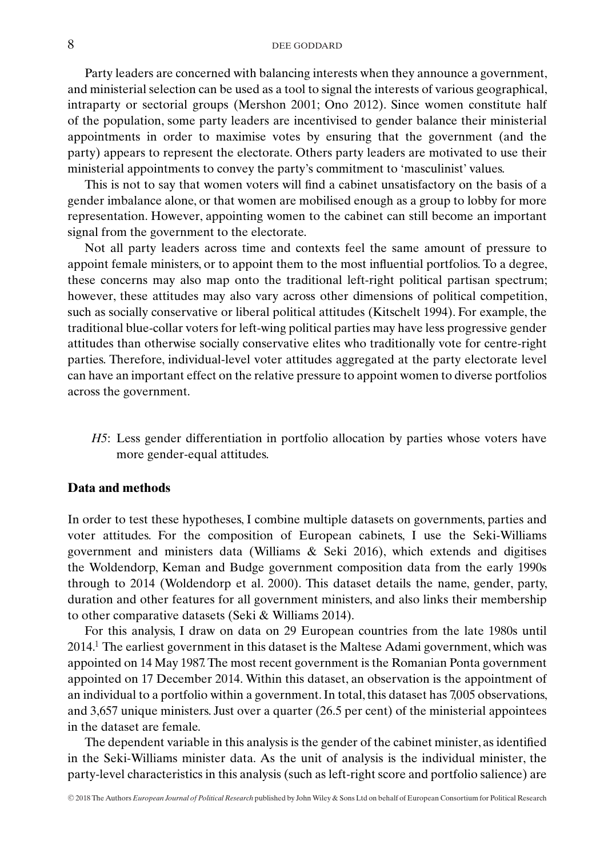Party leaders are concerned with balancing interests when they announce a government, and ministerial selection can be used as a tool to signal the interests of various geographical, intraparty or sectorial groups (Mershon 2001; Ono 2012). Since women constitute half of the population, some party leaders are incentivised to gender balance their ministerial appointments in order to maximise votes by ensuring that the government (and the party) appears to represent the electorate. Others party leaders are motivated to use their ministerial appointments to convey the party's commitment to 'masculinist' values.

This is not to say that women voters will ind a cabinet unsatisfactory on the basis of a gender imbalance alone, or that women are mobilised enough as a group to lobby for more representation. However, appointing women to the cabinet can still become an important signal from the government to the electorate.

Not all party leaders across time and contexts feel the same amount of pressure to appoint female ministers, or to appoint them to the most inluential portfolios. To a degree, these concerns may also map onto the traditional left-right political partisan spectrum; however, these attitudes may also vary across other dimensions of political competition, such as socially conservative or liberal political attitudes (Kitschelt 1994). For example, the traditional blue-collar voters for left-wing political parties may have less progressive gender attitudes than otherwise socially conservative elites who traditionally vote for centre-right parties. Therefore, individual-level voter attitudes aggregated at the party electorate level can have an important effect on the relative pressure to appoint women to diverse portfolios across the government.

*H5*: Less gender differentiation in portfolio allocation by parties whose voters have more gender-equal attitudes.

#### **Data and methods**

In order to test these hypotheses, I combine multiple datasets on governments, parties and voter attitudes. For the composition of European cabinets, I use the Seki-Williams government and ministers data (Williams  $\&$  Seki 2016), which extends and digitises the Woldendorp, Keman and Budge government composition data from the early 1990s through to 2014 (Woldendorp et al. 2000). This dataset details the name, gender, party, duration and other features for all government ministers, and also links their membership to other comparative datasets (Seki & Williams 2014).

For this analysis, I draw on data on 29 European countries from the late 1980s until 2014.<sup>1</sup> The earliest government in this dataset is the Maltese Adami government, which was appointed on 14 May 1987. The most recent government is the Romanian Ponta government appointed on 17 December 2014. Within this dataset, an observation is the appointment of an individual to a portfolio within a government. In total, this dataset has 7,005 observations, and 3,657 unique ministers. Just over a quarter (26.5 per cent) of the ministerial appointees in the dataset are female.

The dependent variable in this analysis is the gender of the cabinet minister, as identified in the Seki-Williams minister data. As the unit of analysis is the individual minister, the party-level characteristics in this analysis (such as left-right score and portfolio salience) are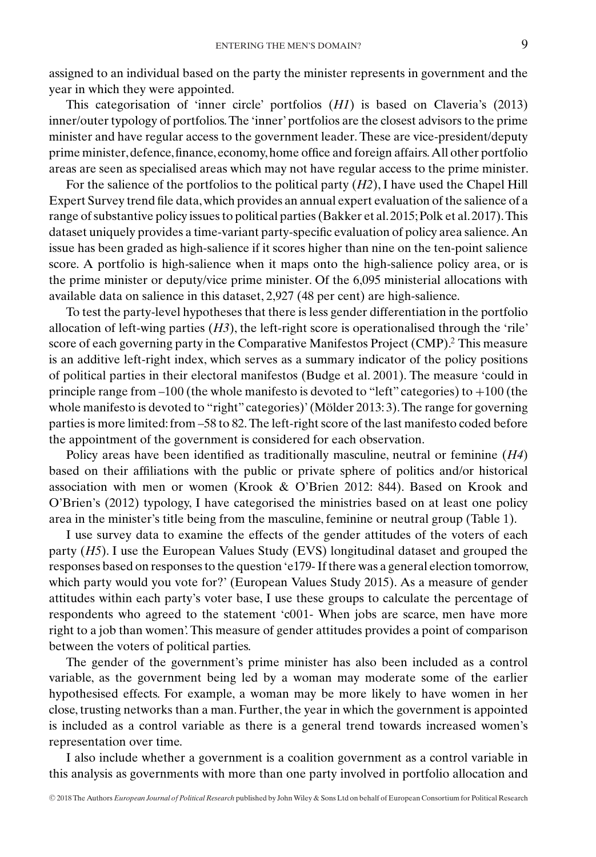assigned to an individual based on the party the minister represents in government and the year in which they were appointed.

This categorisation of 'inner circle' portfolios (*H1*) is based on Claveria's (2013) inner/outer typology of portfolios. The 'inner' portfolios are the closest advisors to the prime minister and have regular access to the government leader. These are vice-president/deputy prime minister, defence, inance, economy, home ofice and foreign affairs.All other portfolio areas are seen as specialised areas which may not have regular access to the prime minister.

For the salience of the portfolios to the political party (*H2*), I have used the Chapel Hill Expert Survey trend file data, which provides an annual expert evaluation of the salience of a range of substantive policy issues to political parties (Bakker et al. 2015; Polk et al. 2017). This dataset uniquely provides a time-variant party-speciic evaluation of policy area salience.An issue has been graded as high-salience if it scores higher than nine on the ten-point salience score. A portfolio is high-salience when it maps onto the high-salience policy area, or is the prime minister or deputy/vice prime minister. Of the 6,095 ministerial allocations with available data on salience in this dataset, 2,927 (48 per cent) are high-salience.

To test the party-level hypotheses that there is less gender differentiation in the portfolio allocation of left-wing parties  $(H3)$ , the left-right score is operationalised through the 'rile' score of each governing party in the Comparative Manifestos Project (CMP).<sup>2</sup> This measure is an additive left-right index, which serves as a summary indicator of the policy positions of political parties in their electoral manifestos (Budge et al. 2001). The measure 'could in principle range from  $-100$  (the whole manifesto is devoted to "left" categories) to  $+100$  (the whole manifesto is devoted to "right" categories)' (Mölder 2013: 3). The range for governing parties is more limited: from –58 to 82. The left-right score of the last manifesto coded before the appointment of the government is considered for each observation.

Policy areas have been identified as traditionally masculine, neutral or feminine (*H4*) based on their afiliations with the public or private sphere of politics and/or historical association with men or women (Krook & O'Brien 2012: 844). Based on Krook and O'Brien's (2012) typology, I have categorised the ministries based on at least one policy area in the minister's title being from the masculine, feminine or neutral group (Table 1).

I use survey data to examine the effects of the gender attitudes of the voters of each party (*H5*). I use the European Values Study (EVS) longitudinal dataset and grouped the responses based on responses to the question 'e179- If there was a general election tomorrow, which party would you vote for?' (European Values Study 2015). As a measure of gender attitudes within each party's voter base, I use these groups to calculate the percentage of respondents who agreed to the statement 'c001- When jobs are scarce, men have more right to a job than women'. This measure of gender attitudes provides a point of comparison between the voters of political parties.

The gender of the government's prime minister has also been included as a control variable, as the government being led by a woman may moderate some of the earlier hypothesised effects. For example, a woman may be more likely to have women in her close, trusting networks than a man. Further, the year in which the government is appointed is included as a control variable as there is a general trend towards increased women's representation over time.

I also include whether a government is a coalition government as a control variable in this analysis as governments with more than one party involved in portfolio allocation and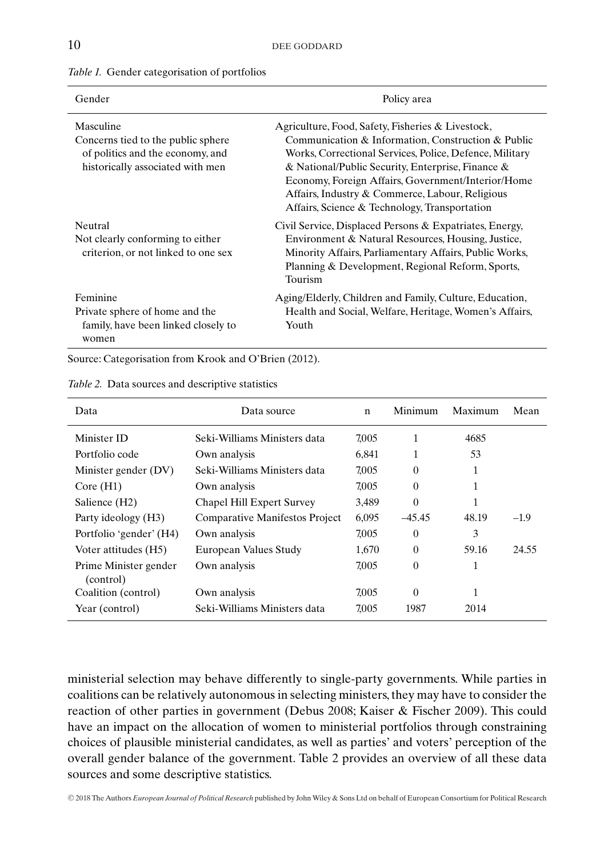| Gender                                                                                                                  | Policy area                                                                                                                                                                                                                                                                                                                                                                          |
|-------------------------------------------------------------------------------------------------------------------------|--------------------------------------------------------------------------------------------------------------------------------------------------------------------------------------------------------------------------------------------------------------------------------------------------------------------------------------------------------------------------------------|
| Masculine<br>Concerns tied to the public sphere<br>of politics and the economy, and<br>historically associated with men | Agriculture, Food, Safety, Fisheries & Livestock,<br>Communication & Information, Construction & Public<br>Works, Correctional Services, Police, Defence, Military<br>& National/Public Security, Enterprise, Finance $\&$<br>Economy, Foreign Affairs, Government/Interior/Home<br>Affairs, Industry & Commerce, Labour, Religious<br>Affairs, Science & Technology, Transportation |
| Neutral<br>Not clearly conforming to either<br>criterion, or not linked to one sex                                      | Civil Service, Displaced Persons & Expatriates, Energy,<br>Environment & Natural Resources, Housing, Justice,<br>Minority Affairs, Parliamentary Affairs, Public Works,<br>Planning & Development, Regional Reform, Sports,<br>Tourism                                                                                                                                               |
| Feminine<br>Private sphere of home and the<br>family, have been linked closely to<br>women                              | Aging/Elderly, Children and Family, Culture, Education,<br>Health and Social, Welfare, Heritage, Women's Affairs,<br>Youth                                                                                                                                                                                                                                                           |

Source: Categorisation from Krook and O'Brien (2012).

| Data                               | Data source                           | $\mathbf n$ | Minimum  | Maximum | Mean   |
|------------------------------------|---------------------------------------|-------------|----------|---------|--------|
| Minister ID                        | Seki-Williams Ministers data          | 7,005       | 1        | 4685    |        |
| Portfolio code                     | Own analysis                          | 6,841       | 1        | 53      |        |
| Minister gender (DV)               | Seki-Williams Ministers data          | 7,005       | $\Omega$ | 1       |        |
| Core(H1)                           | Own analysis                          | 7,005       | $\Omega$ |         |        |
| Salience (H2)                      | Chapel Hill Expert Survey             | 3,489       | $\theta$ | 1       |        |
| Party ideology (H3)                | <b>Comparative Manifestos Project</b> | 6,095       | $-45.45$ | 48.19   | $-1.9$ |
| Portfolio 'gender' (H4)            | Own analysis                          | 7.005       | $\Omega$ | 3       |        |
| Voter attitudes (H5)               | European Values Study                 | 1,670       | $\Omega$ | 59.16   | 24.55  |
| Prime Minister gender<br>(control) | Own analysis                          | 7,005       | $\Omega$ | 1       |        |
| Coalition (control)                | Own analysis                          | 7.005       | $\theta$ | 1       |        |
| Year (control)                     | Seki-Williams Ministers data          | 7.005       | 1987     | 2014    |        |
|                                    |                                       |             |          |         |        |

*Table 2.* Data sources and descriptive statistics

ministerial selection may behave differently to single-party governments. While parties in coalitions can be relatively autonomous in selecting ministers, they may have to consider the reaction of other parties in government (Debus 2008; Kaiser & Fischer 2009). This could have an impact on the allocation of women to ministerial portfolios through constraining choices of plausible ministerial candidates, as well as parties' and voters' perception of the overall gender balance of the government. Table 2 provides an overview of all these data sources and some descriptive statistics.

-<sup>C</sup> 2018 The Authors *European Journal of Political Research* published by John Wiley & Sons Ltd on behalf of European Consortium for Political Research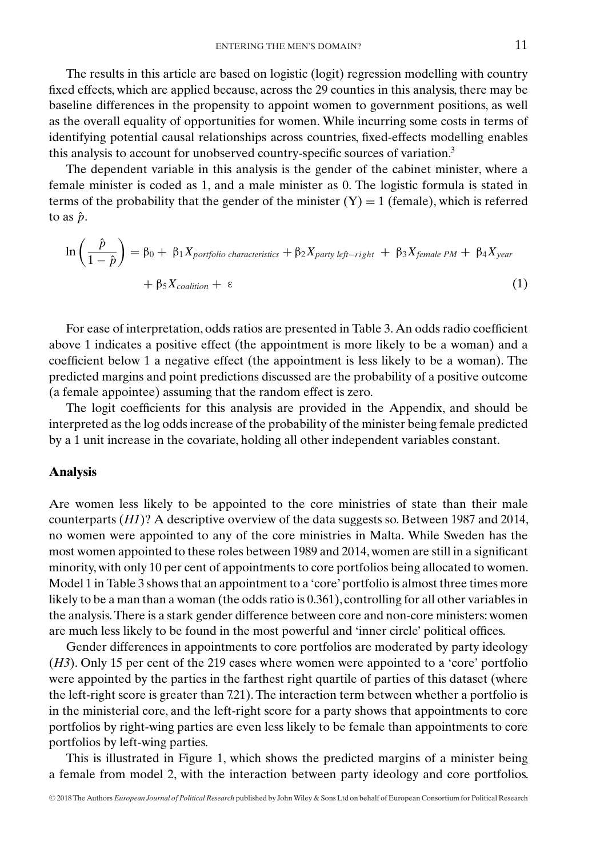The results in this article are based on logistic (logit) regression modelling with country fixed effects, which are applied because, across the 29 counties in this analysis, there may be baseline differences in the propensity to appoint women to government positions, as well as the overall equality of opportunities for women. While incurring some costs in terms of identifying potential causal relationships across countries, ixed-effects modelling enables this analysis to account for unobserved country-specific sources of variation.<sup>3</sup>

The dependent variable in this analysis is the gender of the cabinet minister, where a female minister is coded as 1, and a male minister as 0. The logistic formula is stated in terms of the probability that the gender of the minister  $(Y) = 1$  (female), which is referred to as  $\hat{p}$ .

$$
\ln\left(\frac{\hat{p}}{1-\hat{p}}\right) = \beta_0 + \beta_1 X_{portfolio \ characteristic s} + \beta_2 X_{party \ left-right} + \beta_3 X_{female \ PM} + \beta_4 X_{year} + \beta_5 X_{coalition} + \varepsilon
$$
\n(1)

For ease of interpretation, odds ratios are presented in Table 3. An odds radio coeficient above 1 indicates a positive effect (the appointment is more likely to be a woman) and a coeficient below 1 a negative effect (the appointment is less likely to be a woman). The predicted margins and point predictions discussed are the probability of a positive outcome (a female appointee) assuming that the random effect is zero.

The logit coeficients for this analysis are provided in the Appendix, and should be interpreted as the log odds increase of the probability of the minister being female predicted by a 1 unit increase in the covariate, holding all other independent variables constant.

#### **Analysis**

Are women less likely to be appointed to the core ministries of state than their male counterparts (*H1*)? A descriptive overview of the data suggests so. Between 1987 and 2014, no women were appointed to any of the core ministries in Malta. While Sweden has the most women appointed to these roles between 1989 and 2014, women are still in a significant minority, with only 10 per cent of appointments to core portfolios being allocated to women. Model 1 in Table 3 shows that an appointment to a 'core' portfolio is almost three times more likely to be a man than a woman (the odds ratio is 0.361), controlling for all other variables in the analysis. There is a stark gender difference between core and non-core ministers: women are much less likely to be found in the most powerful and 'inner circle' political ofices.

Gender differences in appointments to core portfolios are moderated by party ideology (*H3*). Only 15 per cent of the 219 cases where women were appointed to a 'core' portfolio were appointed by the parties in the farthest right quartile of parties of this dataset (where the left-right score is greater than 7.21). The interaction term between whether a portfolio is in the ministerial core, and the left-right score for a party shows that appointments to core portfolios by right-wing parties are even less likely to be female than appointments to core portfolios by left-wing parties.

This is illustrated in Figure 1, which shows the predicted margins of a minister being a female from model 2, with the interaction between party ideology and core portfolios.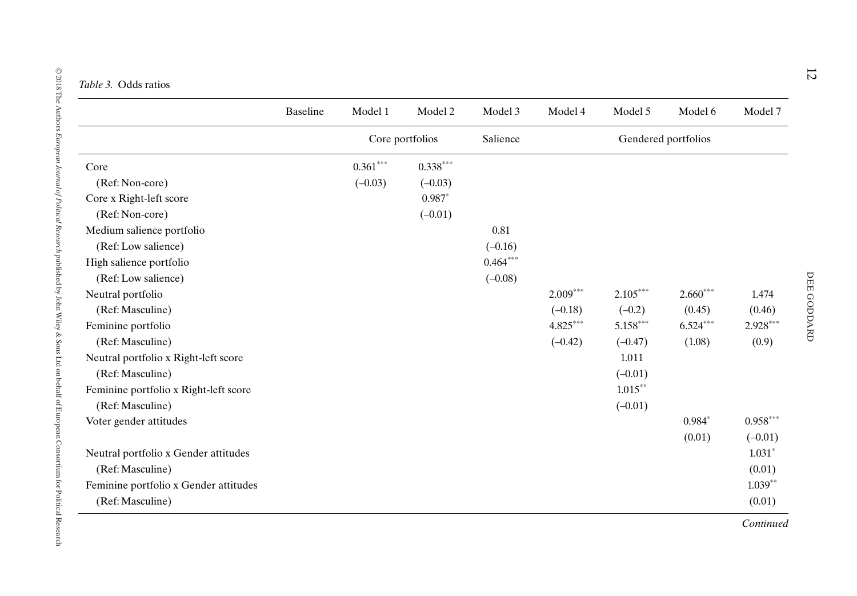$^{\circ}$ 

2018 The Authors

*European Journal of Political Research*

published by John Wiley & Sons Ltd on behalf of European Consortium for Political Research

|                                       | <b>Baseline</b> | Model 1         | Model 2    | Model 3    | Model 4    | Model 5             | Model 6    | Model 7                |
|---------------------------------------|-----------------|-----------------|------------|------------|------------|---------------------|------------|------------------------|
|                                       |                 | Core portfolios |            | Salience   |            | Gendered portfolios |            |                        |
| Core                                  |                 | $0.361***$      | $0.338***$ |            |            |                     |            |                        |
| (Ref: Non-core)                       |                 | $(-0.03)$       | $(-0.03)$  |            |            |                     |            |                        |
| Core x Right-left score               |                 |                 | $0.987*$   |            |            |                     |            |                        |
| (Ref: Non-core)                       |                 |                 | $(-0.01)$  |            |            |                     |            |                        |
| Medium salience portfolio             |                 |                 |            | 0.81       |            |                     |            |                        |
| (Ref: Low salience)                   |                 |                 |            | $(-0.16)$  |            |                     |            |                        |
| High salience portfolio               |                 |                 |            | $0.464***$ |            |                     |            |                        |
| (Ref: Low salience)                   |                 |                 |            | $(-0.08)$  |            |                     |            |                        |
| Neutral portfolio                     |                 |                 |            |            | $2.009***$ | $2.105***$          | $2.660***$ | 1.474                  |
| (Ref: Masculine)                      |                 |                 |            |            | $(-0.18)$  | $(-0.2)$            | (0.45)     | (0.46)                 |
| Feminine portfolio                    |                 |                 |            |            | $4.825***$ | $5.158***$          | $6.524***$ | $2.928***$             |
| (Ref: Masculine)                      |                 |                 |            |            | $(-0.42)$  | $(-0.47)$           | (1.08)     | (0.9)                  |
| Neutral portfolio x Right-left score  |                 |                 |            |            |            | 1.011               |            |                        |
| (Ref: Masculine)                      |                 |                 |            |            |            | $(-0.01)$           |            |                        |
| Feminine portfolio x Right-left score |                 |                 |            |            |            | $1.015***$          |            |                        |
| (Ref: Masculine)                      |                 |                 |            |            |            | $(-0.01)$           |            |                        |
| Voter gender attitudes                |                 |                 |            |            |            |                     | $0.984*$   | $0.958^{\ast\ast\ast}$ |
|                                       |                 |                 |            |            |            |                     | (0.01)     | $(-0.01)$              |
| Neutral portfolio x Gender attitudes  |                 |                 |            |            |            |                     |            | $1.031*$               |
| (Ref: Masculine)                      |                 |                 |            |            |            |                     |            | (0.01)                 |
| Feminine portfolio x Gender attitudes |                 |                 |            |            |            |                     |            | $1.039**$              |
| (Ref: Masculine)                      |                 |                 |            |            |            |                     |            | (0.01)                 |
|                                       |                 |                 |            |            |            |                     |            | Continued              |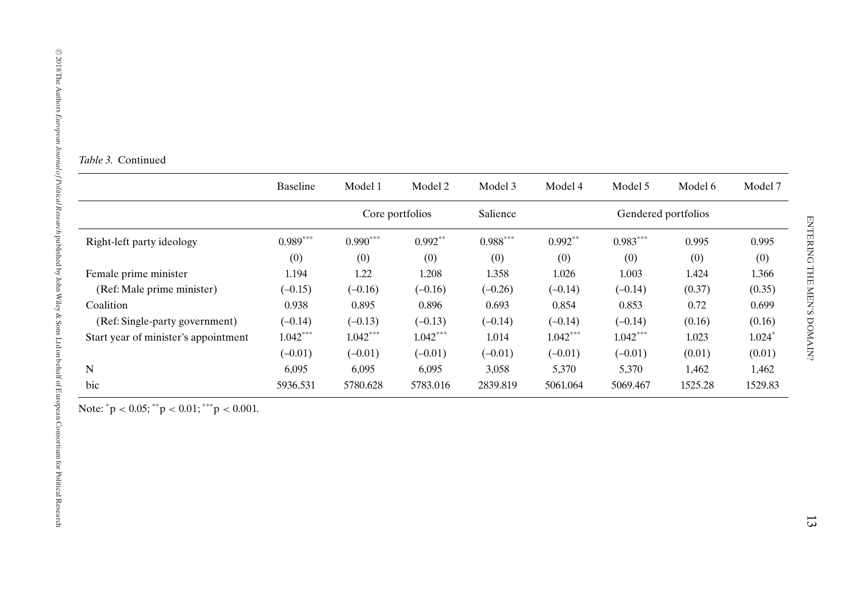|                                      | <b>Baseline</b> | Model 1    | Model 2         | Model 3    | Model 4    | Model 5             | Model 6 | Model 7  |
|--------------------------------------|-----------------|------------|-----------------|------------|------------|---------------------|---------|----------|
|                                      |                 |            | Core portfolios | Salience   |            | Gendered portfolios |         |          |
| Right-left party ideology            | $0.989***$      | $0.990***$ | $0.992**$       | $0.988***$ | $0.992**$  | $0.983***$          | 0.995   | 0.995    |
|                                      | (0)             | (0)        | (0)             | (0)        | (0)        | (0)                 | (0)     | (0)      |
| Female prime minister                | 1.194           | 1.22       | 1.208           | 1.358      | 1.026      | 1.003               | 1.424   | 1.366    |
| (Ref: Male prime minister)           | $(-0.15)$       | $(-0.16)$  | $(-0.16)$       | $(-0.26)$  | $(-0.14)$  | $(-0.14)$           | (0.37)  | (0.35)   |
| Coalition                            | 0.938           | 0.895      | 0.896           | 0.693      | 0.854      | 0.853               | 0.72    | 0.699    |
| (Ref: Single-party government)       | $(-0.14)$       | $(-0.13)$  | $(-0.13)$       | $(-0.14)$  | $(-0.14)$  | $(-0.14)$           | (0.16)  | (0.16)   |
| Start year of minister's appointment | $1.042***$      | $1.042***$ | $1.042***$      | 1.014      | $1.042***$ | $1.042***$          | 1.023   | $1.024*$ |
|                                      | $(-0.01)$       | $(-0.01)$  | $(-0.01)$       | $(-0.01)$  | $(-0.01)$  | $(-0.01)$           | (0.01)  | (0.01)   |
| N                                    | 6.095           | 6.095      | 6.095           | 3,058      | 5,370      | 5,370               | 1,462   | 1,462    |
| bic                                  | 5936.531        | 5780.628   | 5783.016        | 2839.819   | 5061.064   | 5069.467            | 1525.28 | 1529.83  |

Note:  $^*p < 0.05$ ;  $^*p < 0.01$ ;  $^{***}p < 0.001$ .

 $\circ$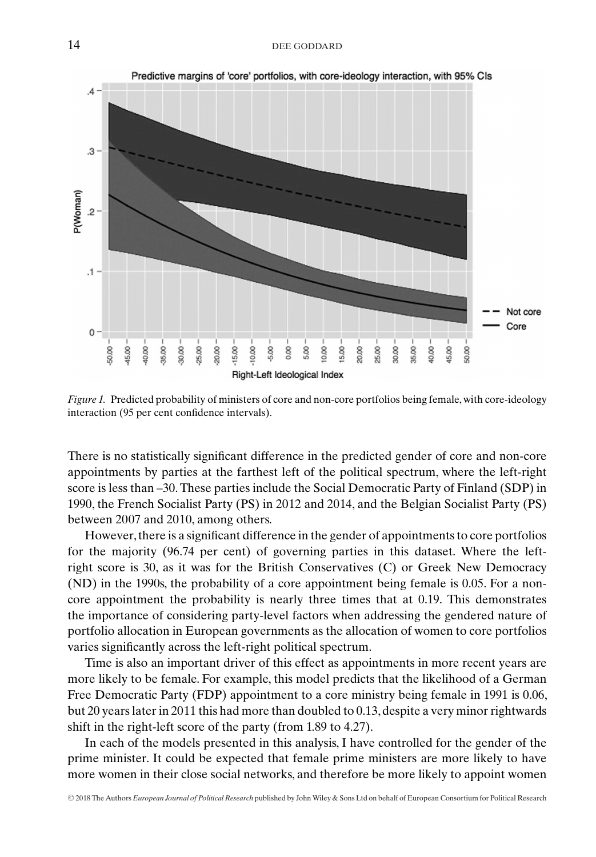

*Figure 1.* Predicted probability of ministers of core and non-core portfolios being female, with core-ideology interaction (95 per cent confidence intervals).

There is no statistically significant difference in the predicted gender of core and non-core appointments by parties at the farthest left of the political spectrum, where the left-right score is less than –30. These parties include the Social Democratic Party of Finland (SDP) in 1990, the French Socialist Party (PS) in 2012 and 2014, and the Belgian Socialist Party (PS) between 2007 and 2010, among others.

However, there is a significant difference in the gender of appointments to core portfolios for the majority (96.74 per cent) of governing parties in this dataset. Where the leftright score is 30, as it was for the British Conservatives (C) or Greek New Democracy (ND) in the 1990s, the probability of a core appointment being female is 0.05. For a noncore appointment the probability is nearly three times that at 0.19. This demonstrates the importance of considering party-level factors when addressing the gendered nature of portfolio allocation in European governments as the allocation of women to core portfolios varies significantly across the left-right political spectrum.

Time is also an important driver of this effect as appointments in more recent years are more likely to be female. For example, this model predicts that the likelihood of a German Free Democratic Party (FDP) appointment to a core ministry being female in 1991 is 0.06, but 20 years later in 2011 this had more than doubled to 0.13, despite a very minor rightwards shift in the right-left score of the party (from 1.89 to 4.27).

In each of the models presented in this analysis, I have controlled for the gender of the prime minister. It could be expected that female prime ministers are more likely to have more women in their close social networks, and therefore be more likely to appoint women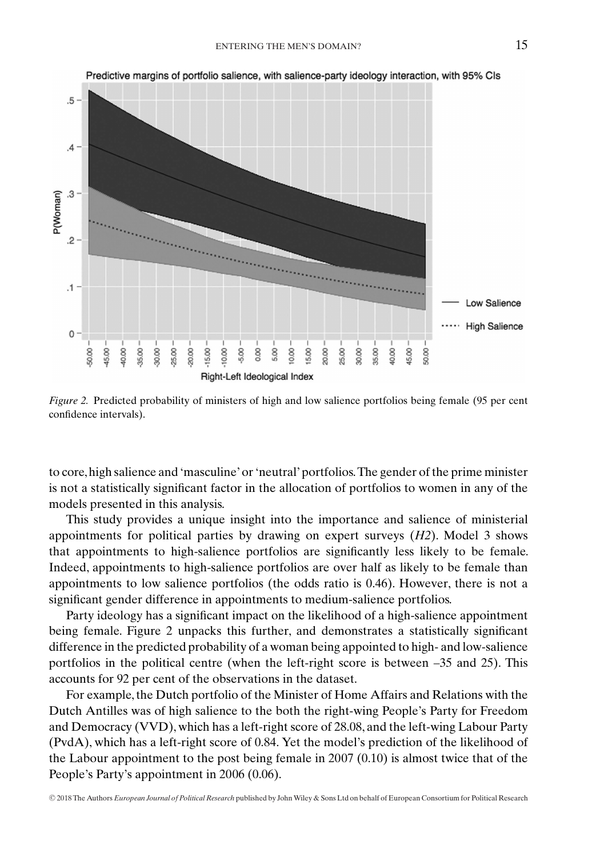

Predictive margins of portfolio salience, with salience-party ideology interaction, with 95% CIs

*Figure 2.* Predicted probability of ministers of high and low salience portfolios being female (95 per cent confidence intervals).

to core, high salience and 'masculine' or 'neutral' portfolios.The gender of the prime minister is not a statistically significant factor in the allocation of portfolios to women in any of the models presented in this analysis.

This study provides a unique insight into the importance and salience of ministerial appointments for political parties by drawing on expert surveys (*H2*). Model 3 shows that appointments to high-salience portfolios are signiicantly less likely to be female. Indeed, appointments to high-salience portfolios are over half as likely to be female than appointments to low salience portfolios (the odds ratio is 0.46). However, there is not a significant gender difference in appointments to medium-salience portfolios.

Party ideology has a significant impact on the likelihood of a high-salience appointment being female. Figure 2 unpacks this further, and demonstrates a statistically significant difference in the predicted probability of a woman being appointed to high- and low-salience portfolios in the political centre (when the left-right score is between –35 and 25). This accounts for 92 per cent of the observations in the dataset.

For example, the Dutch portfolio of the Minister of Home Affairs and Relations with the Dutch Antilles was of high salience to the both the right-wing People's Party for Freedom and Democracy (VVD), which has a left-right score of 28.08, and the left-wing Labour Party (PvdA), which has a left-right score of 0.84. Yet the model's prediction of the likelihood of the Labour appointment to the post being female in 2007 (0.10) is almost twice that of the People's Party's appointment in 2006 (0.06).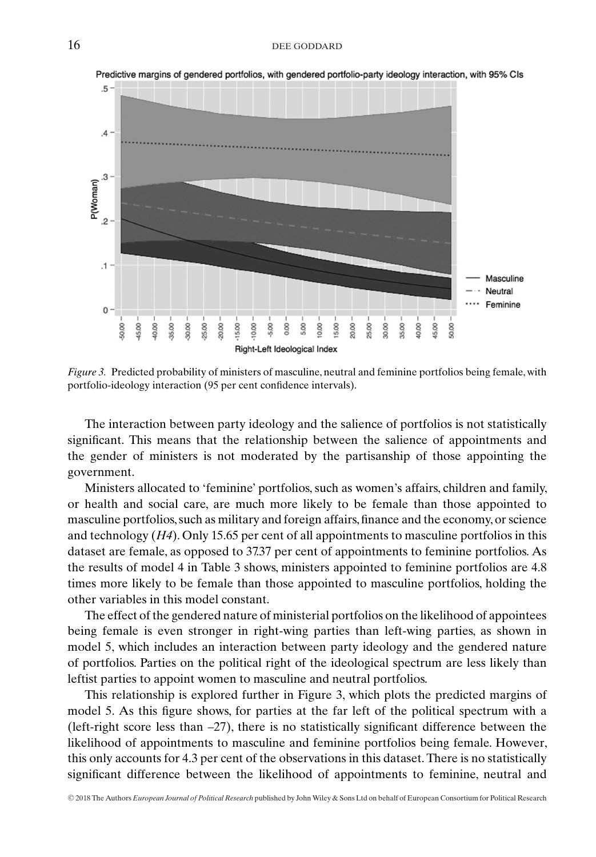

Predictive margins of gendered portfolios, with gendered portfolio-party ideology interaction, with 95% CIs

*Figure 3.* Predicted probability of ministers of masculine, neutral and feminine portfolios being female, with portfolio-ideology interaction (95 per cent conidence intervals).

The interaction between party ideology and the salience of portfolios is not statistically signiicant. This means that the relationship between the salience of appointments and the gender of ministers is not moderated by the partisanship of those appointing the government.

Ministers allocated to 'feminine' portfolios, such as women's affairs, children and family, or health and social care, are much more likely to be female than those appointed to masculine portfolios, such as military and foreign affairs, inance and the economy, or science and technology (*H4*). Only 15.65 per cent of all appointments to masculine portfolios in this dataset are female, as opposed to 37.37 per cent of appointments to feminine portfolios. As the results of model 4 in Table 3 shows, ministers appointed to feminine portfolios are 4.8 times more likely to be female than those appointed to masculine portfolios, holding the other variables in this model constant.

The effect of the gendered nature of ministerial portfolios on the likelihood of appointees being female is even stronger in right-wing parties than left-wing parties, as shown in model 5, which includes an interaction between party ideology and the gendered nature of portfolios. Parties on the political right of the ideological spectrum are less likely than leftist parties to appoint women to masculine and neutral portfolios.

This relationship is explored further in Figure 3, which plots the predicted margins of model 5. As this igure shows, for parties at the far left of the political spectrum with a (left-right score less than  $-27$ ), there is no statistically significant difference between the likelihood of appointments to masculine and feminine portfolios being female. However, this only accounts for 4.3 per cent of the observations in this dataset. There is no statistically significant difference between the likelihood of appointments to feminine, neutral and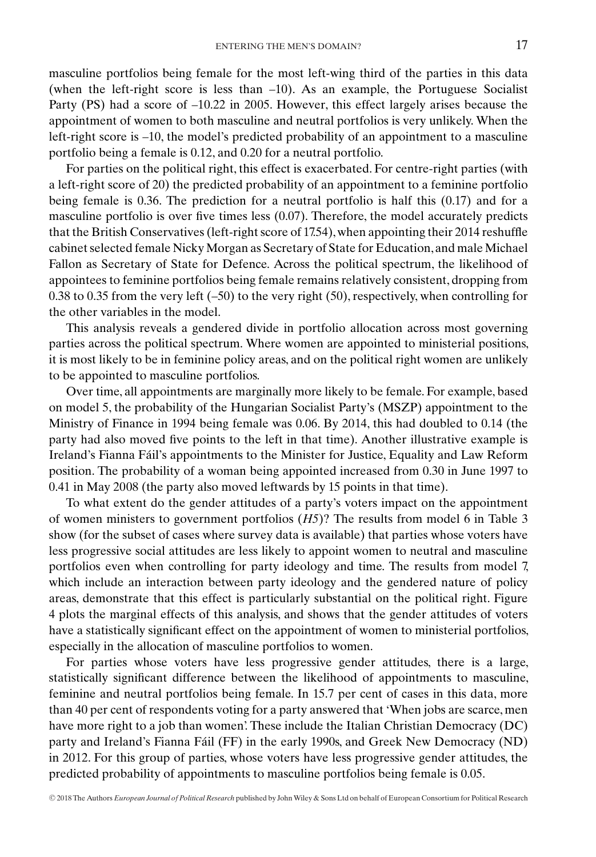masculine portfolios being female for the most left-wing third of the parties in this data (when the left-right score is less than –10). As an example, the Portuguese Socialist Party (PS) had a score of –10.22 in 2005. However, this effect largely arises because the appointment of women to both masculine and neutral portfolios is very unlikely. When the left-right score is –10, the model's predicted probability of an appointment to a masculine portfolio being a female is 0.12, and 0.20 for a neutral portfolio.

For parties on the political right, this effect is exacerbated. For centre-right parties (with a left-right score of 20) the predicted probability of an appointment to a feminine portfolio being female is 0.36. The prediction for a neutral portfolio is half this (0.17) and for a masculine portfolio is over ive times less (0.07). Therefore, the model accurately predicts that the British Conservatives (left-right score of 17.54), when appointing their 2014 reshufle cabinet selected female Nicky Morgan as Secretary of State for Education, and male Michael Fallon as Secretary of State for Defence. Across the political spectrum, the likelihood of appointees to feminine portfolios being female remains relatively consistent, dropping from 0.38 to 0.35 from the very left (–50) to the very right (50), respectively, when controlling for the other variables in the model.

This analysis reveals a gendered divide in portfolio allocation across most governing parties across the political spectrum. Where women are appointed to ministerial positions, it is most likely to be in feminine policy areas, and on the political right women are unlikely to be appointed to masculine portfolios.

Over time, all appointments are marginally more likely to be female. For example, based on model 5, the probability of the Hungarian Socialist Party's (MSZP) appointment to the Ministry of Finance in 1994 being female was 0.06. By 2014, this had doubled to 0.14 (the party had also moved ive points to the left in that time). Another illustrative example is Ireland's Fianna Fáil's appointments to the Minister for Justice, Equality and Law Reform position. The probability of a woman being appointed increased from 0.30 in June 1997 to 0.41 in May 2008 (the party also moved leftwards by 15 points in that time).

To what extent do the gender attitudes of a party's voters impact on the appointment of women ministers to government portfolios (*H5*)? The results from model 6 in Table 3 show (for the subset of cases where survey data is available) that parties whose voters have less progressive social attitudes are less likely to appoint women to neutral and masculine portfolios even when controlling for party ideology and time. The results from model 7, which include an interaction between party ideology and the gendered nature of policy areas, demonstrate that this effect is particularly substantial on the political right. Figure 4 plots the marginal effects of this analysis, and shows that the gender attitudes of voters have a statistically significant effect on the appointment of women to ministerial portfolios, especially in the allocation of masculine portfolios to women.

For parties whose voters have less progressive gender attitudes, there is a large, statistically signiicant difference between the likelihood of appointments to masculine, feminine and neutral portfolios being female. In 15.7 per cent of cases in this data, more than 40 per cent of respondents voting for a party answered that 'When jobs are scarce, men have more right to a job than women'. These include the Italian Christian Democracy (DC) party and Ireland's Fianna Fáil (FF) in the early 1990s, and Greek New Democracy (ND) in 2012. For this group of parties, whose voters have less progressive gender attitudes, the predicted probability of appointments to masculine portfolios being female is 0.05.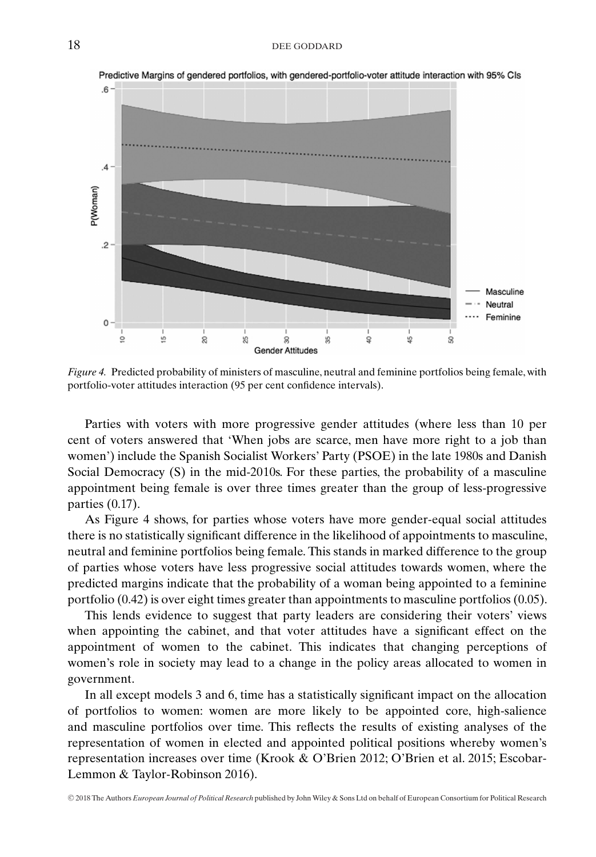

Predictive Margins of gendered portfolios, with gendered-portfolio-voter attitude interaction with 95% CIs

*Figure 4.* Predicted probability of ministers of masculine, neutral and feminine portfolios being female, with portfolio-voter attitudes interaction (95 per cent conidence intervals).

Parties with voters with more progressive gender attitudes (where less than 10 per cent of voters answered that 'When jobs are scarce, men have more right to a job than women') include the Spanish Socialist Workers' Party (PSOE) in the late 1980s and Danish Social Democracy (S) in the mid-2010s. For these parties, the probability of a masculine appointment being female is over three times greater than the group of less-progressive parties (0.17).

As Figure 4 shows, for parties whose voters have more gender-equal social attitudes there is no statistically significant difference in the likelihood of appointments to masculine, neutral and feminine portfolios being female. This stands in marked difference to the group of parties whose voters have less progressive social attitudes towards women, where the predicted margins indicate that the probability of a woman being appointed to a feminine portfolio (0.42) is over eight times greater than appointments to masculine portfolios (0.05).

This lends evidence to suggest that party leaders are considering their voters' views when appointing the cabinet, and that voter attitudes have a significant effect on the appointment of women to the cabinet. This indicates that changing perceptions of women's role in society may lead to a change in the policy areas allocated to women in government.

In all except models 3 and 6, time has a statistically significant impact on the allocation of portfolios to women: women are more likely to be appointed core, high-salience and masculine portfolios over time. This relects the results of existing analyses of the representation of women in elected and appointed political positions whereby women's representation increases over time (Krook & O'Brien 2012; O'Brien et al. 2015; Escobar-Lemmon & Taylor-Robinson 2016).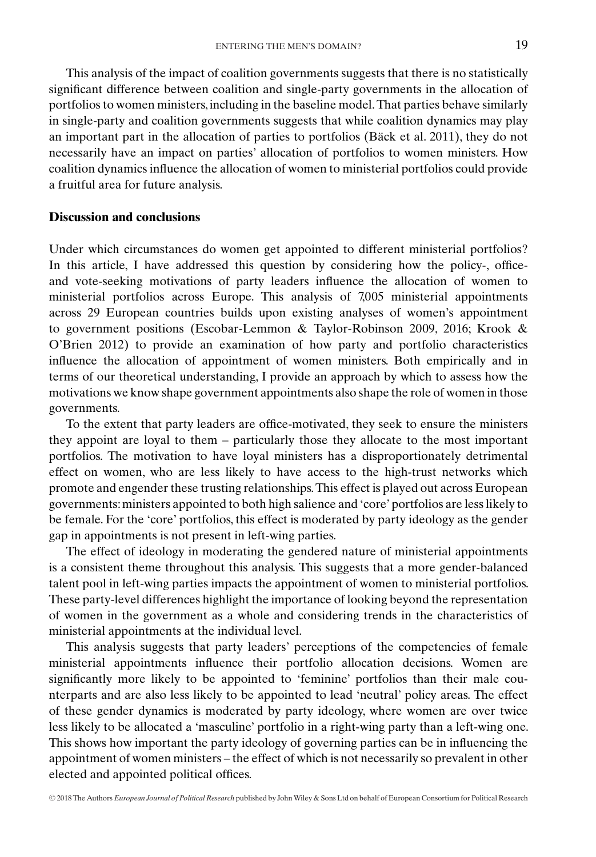This analysis of the impact of coalition governments suggests that there is no statistically signiicant difference between coalition and single-party governments in the allocation of portfolios to women ministers, including in the baseline model. That parties behave similarly in single-party and coalition governments suggests that while coalition dynamics may play an important part in the allocation of parties to portfolios (Bäck et al. 2011), they do not necessarily have an impact on parties' allocation of portfolios to women ministers. How coalition dynamics inluence the allocation of women to ministerial portfolios could provide a fruitful area for future analysis.

#### **Discussion and conclusions**

Under which circumstances do women get appointed to different ministerial portfolios? In this article, I have addressed this question by considering how the policy-, oficeand vote-seeking motivations of party leaders inluence the allocation of women to ministerial portfolios across Europe. This analysis of 7,005 ministerial appointments across 29 European countries builds upon existing analyses of women's appointment to government positions (Escobar-Lemmon & Taylor-Robinson 2009, 2016; Krook & O'Brien 2012) to provide an examination of how party and portfolio characteristics inluence the allocation of appointment of women ministers. Both empirically and in terms of our theoretical understanding, I provide an approach by which to assess how the motivations we know shape government appointments also shape the role of women in those governments.

To the extent that party leaders are ofice-motivated, they seek to ensure the ministers they appoint are loyal to them – particularly those they allocate to the most important portfolios. The motivation to have loyal ministers has a disproportionately detrimental effect on women, who are less likely to have access to the high-trust networks which promote and engender these trusting relationships.This effect is played out across European governments:ministers appointed to both high salience and 'core' portfolios are less likely to be female. For the 'core' portfolios, this effect is moderated by party ideology as the gender gap in appointments is not present in left-wing parties.

The effect of ideology in moderating the gendered nature of ministerial appointments is a consistent theme throughout this analysis. This suggests that a more gender-balanced talent pool in left-wing parties impacts the appointment of women to ministerial portfolios. These party-level differences highlight the importance of looking beyond the representation of women in the government as a whole and considering trends in the characteristics of ministerial appointments at the individual level.

This analysis suggests that party leaders' perceptions of the competencies of female ministerial appointments inluence their portfolio allocation decisions. Women are signiicantly more likely to be appointed to 'feminine' portfolios than their male counterparts and are also less likely to be appointed to lead 'neutral' policy areas. The effect of these gender dynamics is moderated by party ideology, where women are over twice less likely to be allocated a 'masculine' portfolio in a right-wing party than a left-wing one. This shows how important the party ideology of governing parties can be in inluencing the appointment of women ministers – the effect of which is not necessarily so prevalent in other elected and appointed political ofices.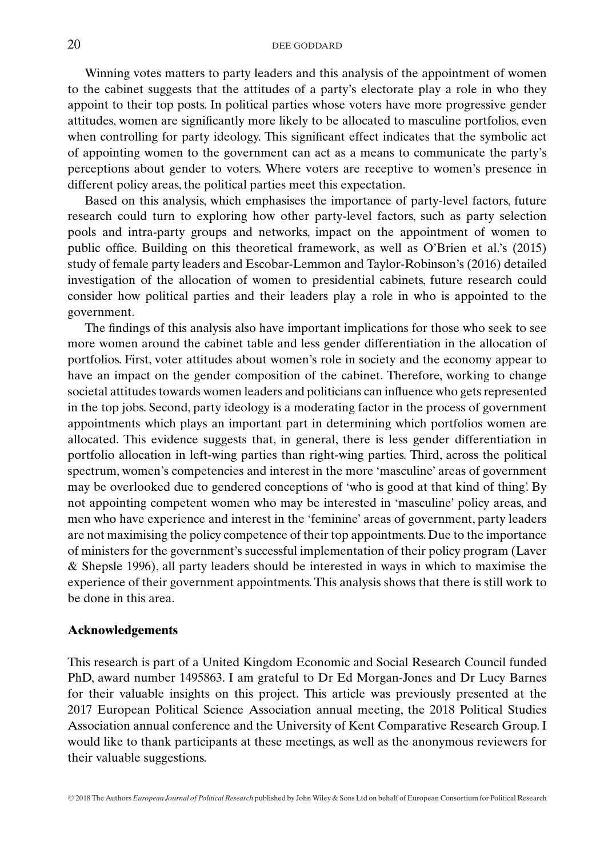Winning votes matters to party leaders and this analysis of the appointment of women to the cabinet suggests that the attitudes of a party's electorate play a role in who they appoint to their top posts. In political parties whose voters have more progressive gender attitudes, women are signiicantly more likely to be allocated to masculine portfolios, even when controlling for party ideology. This significant effect indicates that the symbolic act of appointing women to the government can act as a means to communicate the party's perceptions about gender to voters. Where voters are receptive to women's presence in different policy areas, the political parties meet this expectation.

Based on this analysis, which emphasises the importance of party-level factors, future research could turn to exploring how other party-level factors, such as party selection pools and intra-party groups and networks, impact on the appointment of women to public ofice. Building on this theoretical framework, as well as O'Brien et al.'s (2015) study of female party leaders and Escobar-Lemmon and Taylor-Robinson's (2016) detailed investigation of the allocation of women to presidential cabinets, future research could consider how political parties and their leaders play a role in who is appointed to the government.

The indings of this analysis also have important implications for those who seek to see more women around the cabinet table and less gender differentiation in the allocation of portfolios. First, voter attitudes about women's role in society and the economy appear to have an impact on the gender composition of the cabinet. Therefore, working to change societal attitudes towards women leaders and politicians can inluence who gets represented in the top jobs. Second, party ideology is a moderating factor in the process of government appointments which plays an important part in determining which portfolios women are allocated. This evidence suggests that, in general, there is less gender differentiation in portfolio allocation in left-wing parties than right-wing parties. Third, across the political spectrum, women's competencies and interest in the more 'masculine' areas of government may be overlooked due to gendered conceptions of 'who is good at that kind of thing'. By not appointing competent women who may be interested in 'masculine' policy areas, and men who have experience and interest in the 'feminine' areas of government, party leaders are not maximising the policy competence of their top appointments. Due to the importance of ministers for the government's successful implementation of their policy program (Laver & Shepsle 1996), all party leaders should be interested in ways in which to maximise the experience of their government appointments. This analysis shows that there is still work to be done in this area.

#### **Acknowledgements**

This research is part of a United Kingdom Economic and Social Research Council funded PhD, award number 1495863. I am grateful to Dr Ed Morgan-Jones and Dr Lucy Barnes for their valuable insights on this project. This article was previously presented at the 2017 European Political Science Association annual meeting, the 2018 Political Studies Association annual conference and the University of Kent Comparative Research Group. I would like to thank participants at these meetings, as well as the anonymous reviewers for their valuable suggestions.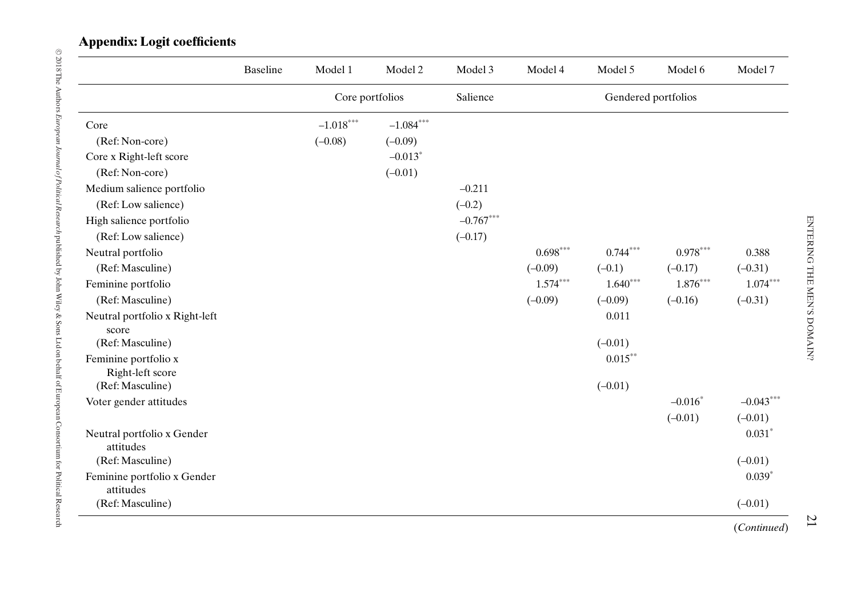# **Appendix: Logit coeficients**

 $\circ$ 

2018 The Authors

*European Journal of Political Research*

published by John Wiley & Sons Ltd on behalf of European Consortium for Political Research

|                                      | <b>Baseline</b> | Model 1                     | Model 2     | Model 3     | Model 4    | Model 5             | Model 6    | Model 7     |
|--------------------------------------|-----------------|-----------------------------|-------------|-------------|------------|---------------------|------------|-------------|
|                                      |                 | Salience<br>Core portfolios |             |             |            | Gendered portfolios |            |             |
| Core                                 |                 | $-1.018***$                 | $-1.084***$ |             |            |                     |            |             |
| (Ref: Non-core)                      |                 | $(-0.08)$                   | $(-0.09)$   |             |            |                     |            |             |
| Core x Right-left score              |                 |                             | $-0.013*$   |             |            |                     |            |             |
| (Ref: Non-core)                      |                 |                             | $(-0.01)$   |             |            |                     |            |             |
| Medium salience portfolio            |                 |                             |             | $-0.211$    |            |                     |            |             |
| (Ref: Low salience)                  |                 |                             |             | $(-0.2)$    |            |                     |            |             |
| High salience portfolio              |                 |                             |             | $-0.767***$ |            |                     |            |             |
| (Ref: Low salience)                  |                 |                             |             | $(-0.17)$   |            |                     |            |             |
| Neutral portfolio                    |                 |                             |             |             | $0.698***$ | $0.744***$          | $0.978***$ | 0.388       |
| (Ref: Masculine)                     |                 |                             |             |             | $(-0.09)$  | $(-0.1)$            | $(-0.17)$  | $(-0.31)$   |
| Feminine portfolio                   |                 |                             |             |             | $1.574***$ | $1.640***$          | $1.876***$ | $1.074***$  |
| (Ref: Masculine)                     |                 |                             |             |             | $(-0.09)$  | $(-0.09)$           | $(-0.16)$  | $(-0.31)$   |
| Neutral portfolio x Right-left       |                 |                             |             |             |            | 0.011               |            |             |
| score                                |                 |                             |             |             |            |                     |            |             |
| (Ref: Masculine)                     |                 |                             |             |             |            | $(-0.01)$           |            |             |
| Feminine portfolio x                 |                 |                             |             |             |            | $0.015***$          |            |             |
| Right-left score<br>(Ref: Masculine) |                 |                             |             |             |            | $(-0.01)$           |            |             |
| Voter gender attitudes               |                 |                             |             |             |            |                     | $-0.016*$  | $-0.043***$ |
|                                      |                 |                             |             |             |            |                     | $(-0.01)$  | $(-0.01)$   |
| Neutral portfolio x Gender           |                 |                             |             |             |            |                     |            | $0.031*$    |
| attitudes                            |                 |                             |             |             |            |                     |            |             |
| (Ref: Masculine)                     |                 |                             |             |             |            |                     |            | $(-0.01)$   |
| Feminine portfolio x Gender          |                 |                             |             |             |            |                     |            | $0.039*$    |
| attitudes                            |                 |                             |             |             |            |                     |            |             |
| (Ref: Masculine)                     |                 |                             |             |             |            |                     |            | $(-0.01)$   |
|                                      |                 |                             |             |             |            |                     |            | (Continued) |

21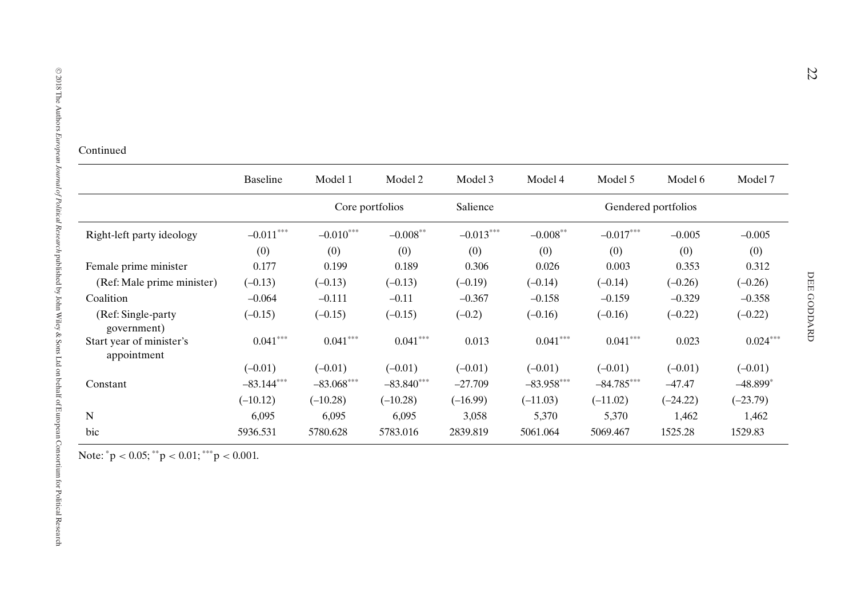$^{\circ}$ 

|                                         | Baseline     | Model 1         | Model 2      | Model 3     | Model 4      | Model 5             | Model 6    | Model 7                |  |
|-----------------------------------------|--------------|-----------------|--------------|-------------|--------------|---------------------|------------|------------------------|--|
|                                         |              | Core portfolios |              | Salience    |              | Gendered portfolios |            |                        |  |
| Right-left party ideology               | $-0.011***$  | $-0.010***$     | $-0.008***$  | $-0.013***$ | $-0.008**$   | $-0.017***$         | $-0.005$   | $-0.005$               |  |
|                                         | (0)          | (0)             | (0)          | (0)         | (0)          | (0)                 | (0)        | (0)                    |  |
| Female prime minister                   | 0.177        | 0.199           | 0.189        | 0.306       | 0.026        | 0.003               | 0.353      | 0.312                  |  |
| (Ref: Male prime minister)              | $(-0.13)$    | $(-0.13)$       | $(-0.13)$    | $(-0.19)$   | $(-0.14)$    | $(-0.14)$           | $(-0.26)$  | $(-0.26)$              |  |
| Coalition                               | $-0.064$     | $-0.111$        | $-0.11$      | $-0.367$    | $-0.158$     | $-0.159$            | $-0.329$   | $-0.358$               |  |
| (Ref: Single-party)<br>government)      | $(-0.15)$    | $(-0.15)$       | $(-0.15)$    | $(-0.2)$    | $(-0.16)$    | $(-0.16)$           | $(-0.22)$  | $(-0.22)$              |  |
| Start year of minister's<br>appointment | $0.041***$   | $0.041***$      | $0.041***$   | 0.013       | $0.041***$   | $0.041***$          | 0.023      | $0.024***$             |  |
|                                         | $(-0.01)$    | $(-0.01)$       | $(-0.01)$    | $(-0.01)$   | $(-0.01)$    | $(-0.01)$           | $(-0.01)$  | $(-0.01)$              |  |
| Constant                                | $-83.144***$ | $-83.068***$    | $-83.840***$ | $-27.709$   | $-83.958***$ | $-84.785***$        | $-47.47$   | $-48.899$ <sup>*</sup> |  |
|                                         | $(-10.12)$   | $(-10.28)$      | $(-10.28)$   | $(-16.99)$  | $(-11.03)$   | $(-11.02)$          | $(-24.22)$ | $(-23.79)$             |  |
| N                                       | 6,095        | 6,095           | 6,095        | 3,058       | 5,370        | 5,370               | 1,462      | 1,462                  |  |
| bic                                     | 5936.531     | 5780.628        | 5783.016     | 2839.819    | 5061.064     | 5069.467            | 1525.28    | 1529.83                |  |

Note:  $^*p < 0.05$ ;  $^*p < 0.01$ ;  $^{***}p < 0.001$ .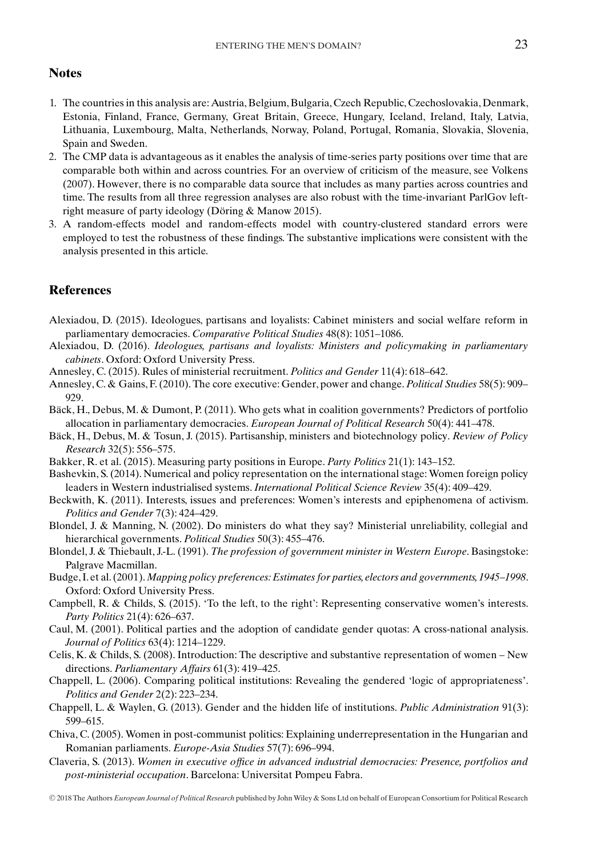#### **Notes**

- 1. The countries in this analysis are: Austria, Belgium, Bulgaria, Czech Republic, Czechoslovakia, Denmark, Estonia, Finland, France, Germany, Great Britain, Greece, Hungary, Iceland, Ireland, Italy, Latvia, Lithuania, Luxembourg, Malta, Netherlands, Norway, Poland, Portugal, Romania, Slovakia, Slovenia, Spain and Sweden.
- 2. The CMP data is advantageous as it enables the analysis of time-series party positions over time that are comparable both within and across countries. For an overview of criticism of the measure, see Volkens (2007). However, there is no comparable data source that includes as many parties across countries and time. The results from all three regression analyses are also robust with the time-invariant ParlGov leftright measure of party ideology (Döring & Manow 2015).
- 3. A random-effects model and random-effects model with country-clustered standard errors were employed to test the robustness of these indings. The substantive implications were consistent with the analysis presented in this article.

#### **References**

- Alexiadou, D. (2015). Ideologues, partisans and loyalists: Cabinet ministers and social welfare reform in parliamentary democracies. *Comparative Political Studies* 48(8): 1051–1086.
- Alexiadou, D. (2016). *Ideologues, partisans and loyalists: Ministers and policymaking in parliamentary cabinets*. Oxford: Oxford University Press.
- Annesley, C. (2015). Rules of ministerial recruitment. *Politics and Gender* 11(4): 618–642.
- Annesley, C. & Gains, F. (2010). The core executive: Gender, power and change.*Political Studies* 58(5): 909– 929.
- Bäck, H., Debus, M. & Dumont, P. (2011). Who gets what in coalition governments? Predictors of portfolio allocation in parliamentary democracies. *European Journal of Political Research* 50(4): 441–478.
- Bäck, H., Debus, M. & Tosun, J. (2015). Partisanship, ministers and biotechnology policy. *Review of Policy Research* 32(5): 556–575.
- Bakker, R. et al. (2015). Measuring party positions in Europe. *Party Politics* 21(1): 143–152.
- Bashevkin, S. (2014). Numerical and policy representation on the international stage: Women foreign policy leaders in Western industrialised systems. *International Political Science Review* 35(4): 409–429.
- Beckwith, K. (2011). Interests, issues and preferences: Women's interests and epiphenomena of activism. *Politics and Gender* 7(3): 424–429.
- Blondel, J. & Manning, N. (2002). Do ministers do what they say? Ministerial unreliability, collegial and hierarchical governments. *Political Studies* 50(3): 455–476.
- Blondel, J. & Thiebault, J.-L. (1991). *The profession of government minister in Western Europe*. Basingstoke: Palgrave Macmillan.
- Budge, I. et al. (2001).*Mapping policy preferences: Estimates for parties, electors and governments, 1945–1998*. Oxford: Oxford University Press.
- Campbell, R. & Childs, S. (2015). ʻTo the left, to the right': Representing conservative women's interests. *Party Politics* 21(4): 626–637.
- Caul, M. (2001). Political parties and the adoption of candidate gender quotas: A cross-national analysis. *Journal of Politics* 63(4): 1214–1229.
- Celis, K. & Childs, S. (2008). Introduction: The descriptive and substantive representation of women New directions. *Parliamentary Affairs* 61(3): 419–425.
- Chappell, L. (2006). Comparing political institutions: Revealing the gendered 'logic of appropriateness'. *Politics and Gender* 2(2): 223–234.
- Chappell, L. & Waylen, G. (2013). Gender and the hidden life of institutions. *Public Administration* 91(3): 599–615.
- Chiva, C. (2005). Women in post-communist politics: Explaining underrepresentation in the Hungarian and Romanian parliaments. *Europe-Asia Studies* 57(7): 696–994.
- Claveria, S. (2013). *Women in executive ofice in advanced industrial democracies: Presence, portfolios and post-ministerial occupation*. Barcelona: Universitat Pompeu Fabra.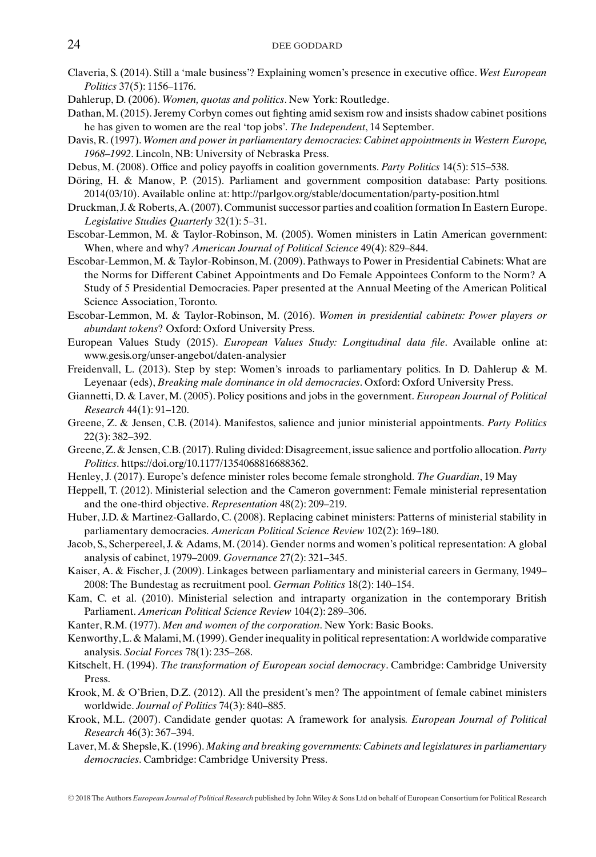- Claveria, S. (2014). Still a 'male business'? Explaining women's presence in executive ofice. *West European Politics* 37(5): 1156–1176.
- Dahlerup, D. (2006). *Women, quotas and politics*. New York: Routledge.
- Dathan, M. (2015). Jeremy Corbyn comes out ighting amid sexism row and insists shadow cabinet positions he has given to women are the real 'top jobs'. *The Independent*, 14 September.
- Davis, R. (1997). *Women and power in parliamentary democracies: Cabinet appointments in Western Europe, 1968–1992*. Lincoln, NB: University of Nebraska Press.
- Debus, M. (2008). Ofice and policy payoffs in coalition governments. *Party Politics* 14(5): 515–538.
- Döring, H. & Manow, P. (2015). Parliament and government composition database: Party positions. 2014(03/10). Available online at: http://parlgov.org/stable/documentation/party-position.html
- Druckman, J.& Roberts,A. (2007). Communist successor parties and coalition formation In Eastern Europe. *Legislative Studies Quarterly* 32(1): 5–31.
- Escobar-Lemmon, M. & Taylor-Robinson, M. (2005). Women ministers in Latin American government: When, where and why? *American Journal of Political Science* 49(4): 829–844.
- Escobar-Lemmon, M. & Taylor-Robinson, M. (2009). Pathways to Power in Presidential Cabinets: What are the Norms for Different Cabinet Appointments and Do Female Appointees Conform to the Norm? A Study of 5 Presidential Democracies. Paper presented at the Annual Meeting of the American Political Science Association, Toronto.
- Escobar-Lemmon, M. & Taylor-Robinson, M. (2016). *Women in presidential cabinets: Power players or abundant tokens*? Oxford: Oxford University Press.
- European Values Study (2015). *European Values Study: Longitudinal data ile*. Available online at: www.gesis.org/unser-angebot/daten-analysier
- Freidenvall, L. (2013). Step by step: Women's inroads to parliamentary politics. In D. Dahlerup & M. Leyenaar (eds), *Breaking male dominance in old democracies*. Oxford: Oxford University Press.
- Giannetti, D. & Laver, M. (2005). Policy positions and jobs in the government. *European Journal of Political Research* 44(1): 91–120.
- Greene, Z. & Jensen, C.B. (2014). Manifestos, salience and junior ministerial appointments. *Party Politics* 22(3): 382–392.
- Greene, Z.& Jensen, C.B. (2017).Ruling divided:Disagreement,issue salience and portfolio allocation.*Party Politics*. https://doi.org/10.1177/1354068816688362.
- Henley, J. (2017). Europe's defence minister roles become female stronghold. *The Guardian*, 19 May
- Heppell, T. (2012). Ministerial selection and the Cameron government: Female ministerial representation and the one-third objective. *Representation* 48(2): 209–219.
- Huber, J.D. & Martinez-Gallardo, C. (2008). Replacing cabinet ministers: Patterns of ministerial stability in parliamentary democracies. *American Political Science Review* 102(2): 169–180.
- Jacob, S., Scherpereel, J. & Adams, M. (2014). Gender norms and women's political representation: A global analysis of cabinet, 1979–2009. *Governance* 27(2): 321–345.
- Kaiser, A. & Fischer, J. (2009). Linkages between parliamentary and ministerial careers in Germany, 1949– 2008: The Bundestag as recruitment pool. *German Politics* 18(2): 140–154.
- Kam, C. et al. (2010). Ministerial selection and intraparty organization in the contemporary British Parliament. *American Political Science Review* 104(2): 289–306.
- Kanter, R.M. (1977). *Men and women of the corporation*. New York: Basic Books.
- Kenworthy,L.& Malami,M. (1999).Gender inequality in political representation:A worldwide comparative analysis. *Social Forces* 78(1): 235–268.
- Kitschelt, H. (1994). *The transformation of European social democracy*. Cambridge: Cambridge University Press.
- Krook, M. & O'Brien, D.Z. (2012). All the president's men? The appointment of female cabinet ministers worldwide. *Journal of Politics* 74(3): 840–885.
- Krook, M.L. (2007). Candidate gender quotas: A framework for analysis. *European Journal of Political Research* 46(3): 367–394.
- Laver,M.& Shepsle, K. (1996).*Making and breaking governments: Cabinets and legislatures in parliamentary democracies*. Cambridge: Cambridge University Press.